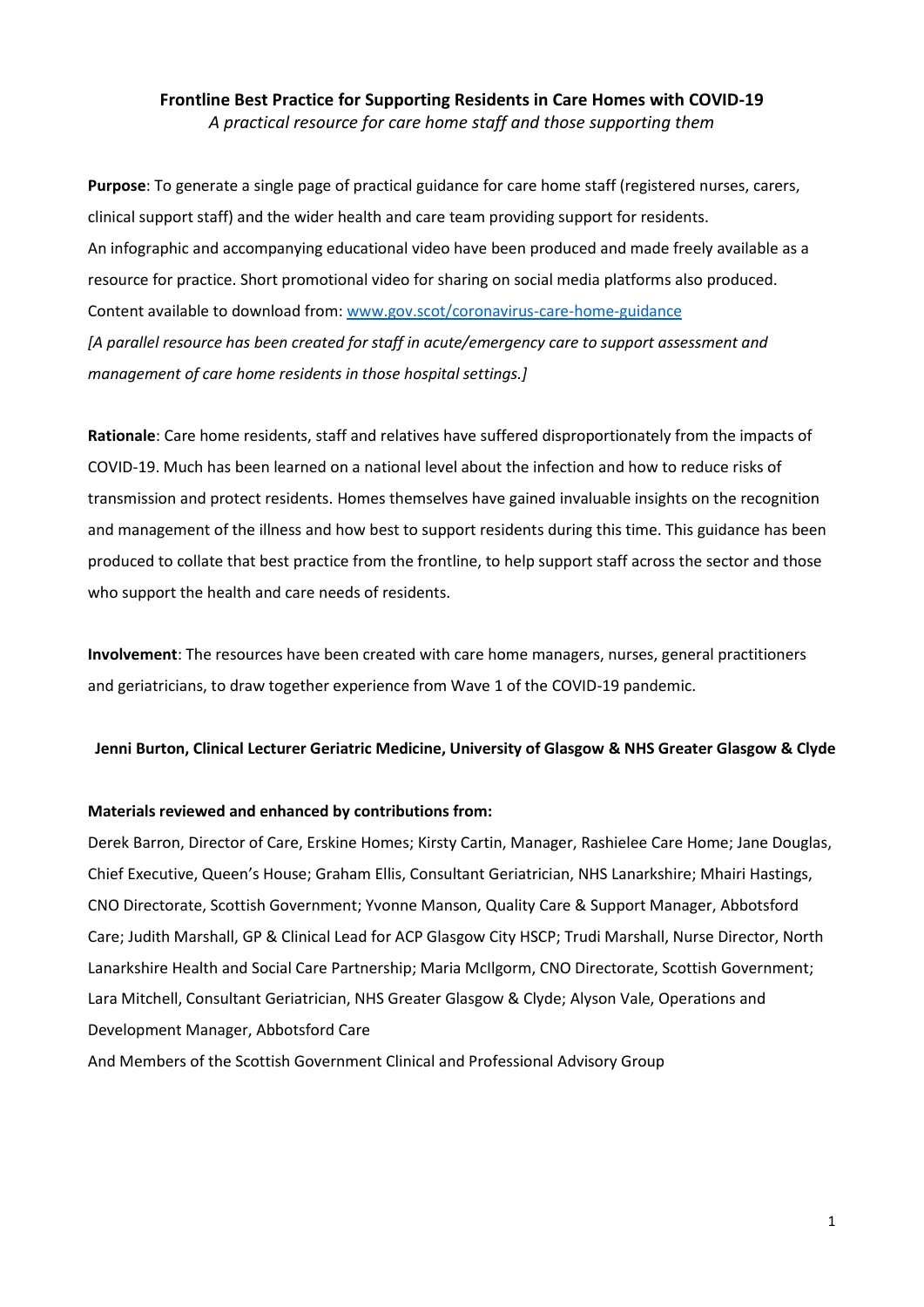# **Frontline Best Practice for Supporting Residents in Care Homes with COVID-19** *A practical resource for care home staff and those supporting them*

**Purpose**: To generate a single page of practical guidance for care home staff (registered nurses, carers, clinical support staff) and the wider health and care team providing support for residents. An infographic and accompanying educational video have been produced and made freely available as a resource for practice. Short promotional video for sharing on social media platforms also produced. Content available to download from[: www.gov.scot/coronavirus-care-home-guidance](www.gov.scot/coronavirus-care-home-guidance) *[A parallel resource has been created for staff in acute/emergency care to support assessment and management of care home residents in those hospital settings.]*

**Rationale**: Care home residents, staff and relatives have suffered disproportionately from the impacts of COVID-19. Much has been learned on a national level about the infection and how to reduce risks of transmission and protect residents. Homes themselves have gained invaluable insights on the recognition and management of the illness and how best to support residents during this time. This guidance has been produced to collate that best practice from the frontline, to help support staff across the sector and those who support the health and care needs of residents.

**Involvement**: The resources have been created with care home managers, nurses, general practitioners and geriatricians, to draw together experience from Wave 1 of the COVID-19 pandemic.

### **Jenni Burton, Clinical Lecturer Geriatric Medicine, University of Glasgow & NHS Greater Glasgow & Clyde**

#### **Materials reviewed and enhanced by contributions from:**

Derek Barron, Director of Care, Erskine Homes; Kirsty Cartin, Manager, Rashielee Care Home; Jane Douglas, Chief Executive, Queen's House; Graham Ellis, Consultant Geriatrician, NHS Lanarkshire; Mhairi Hastings, CNO Directorate, Scottish Government; Yvonne Manson, Quality Care & Support Manager, Abbotsford Care; Judith Marshall, GP & Clinical Lead for ACP Glasgow City HSCP; Trudi Marshall, Nurse Director, North Lanarkshire Health and Social Care Partnership; Maria McIlgorm, CNO Directorate, Scottish Government; Lara Mitchell, Consultant Geriatrician, NHS Greater Glasgow & Clyde; Alyson Vale, Operations and Development Manager, Abbotsford Care

And Members of the Scottish Government Clinical and Professional Advisory Group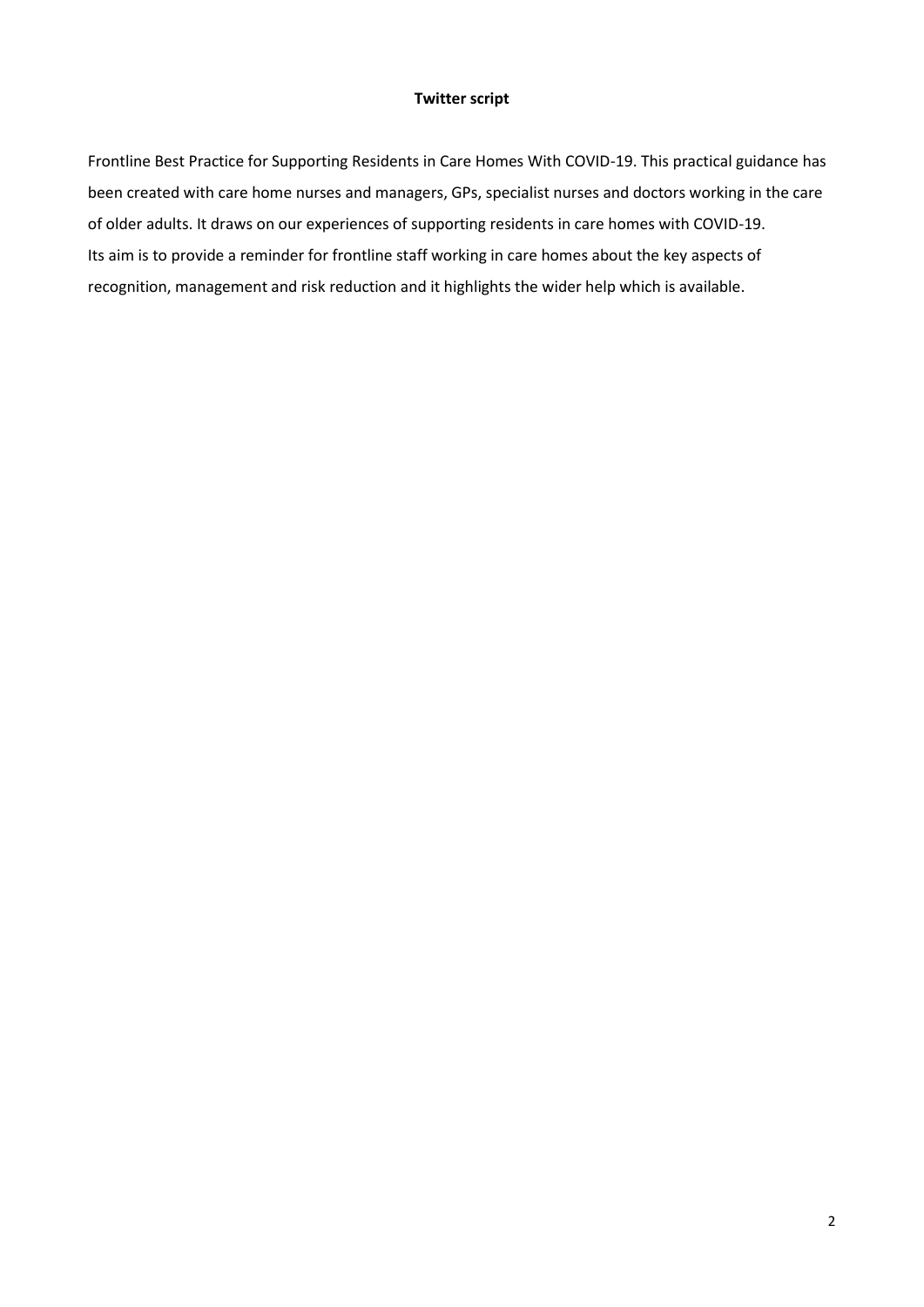# **Twitter script**

Frontline Best Practice for Supporting Residents in Care Homes With COVID-19. This practical guidance has been created with care home nurses and managers, GPs, specialist nurses and doctors working in the care of older adults. It draws on our experiences of supporting residents in care homes with COVID-19. Its aim is to provide a reminder for frontline staff working in care homes about the key aspects of recognition, management and risk reduction and it highlights the wider help which is available.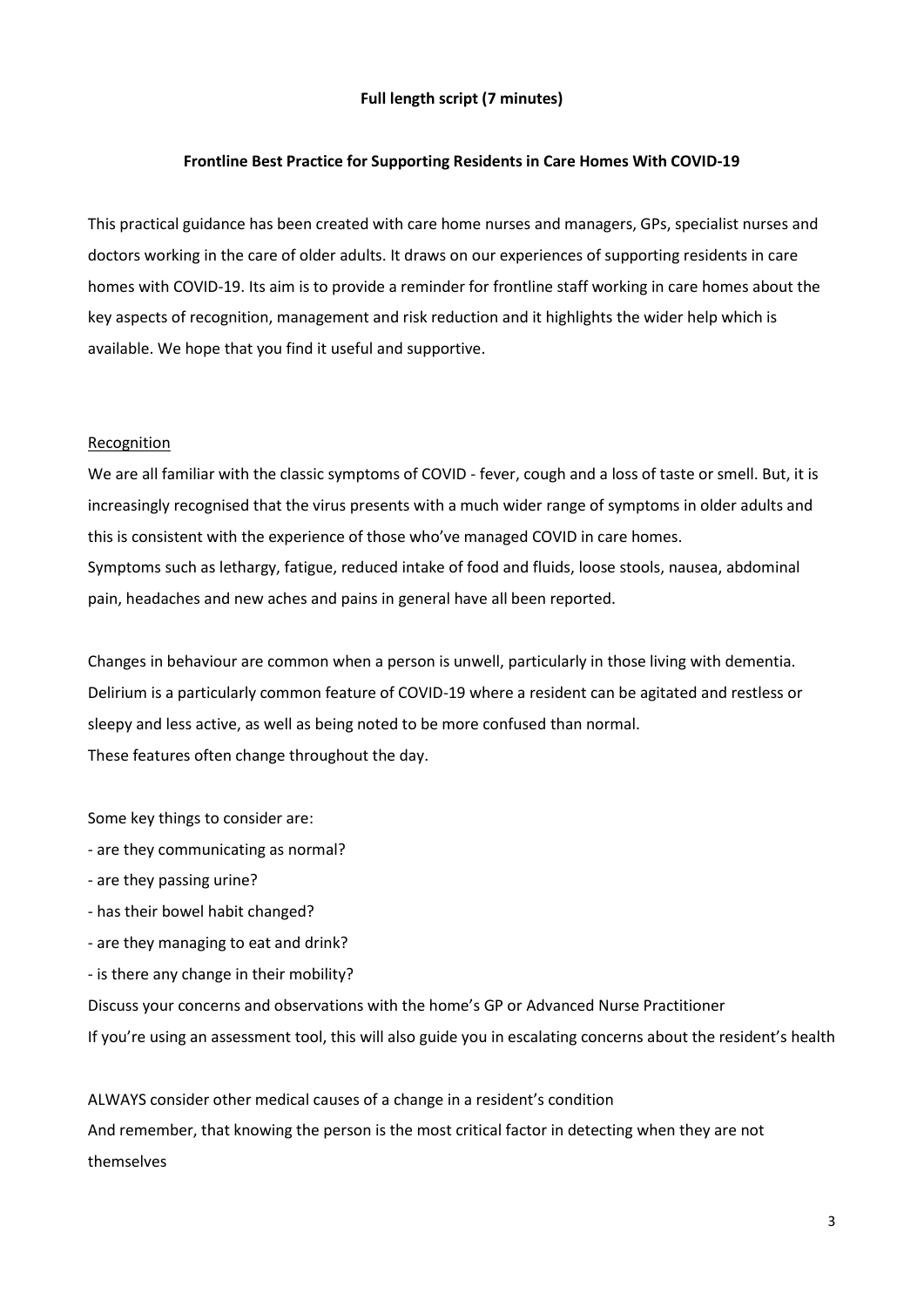# **Full length script (7 minutes)**

# **Frontline Best Practice for Supporting Residents in Care Homes With COVID-19**

This practical guidance has been created with care home nurses and managers, GPs, specialist nurses and doctors working in the care of older adults. It draws on our experiences of supporting residents in care homes with COVID-19. Its aim is to provide a reminder for frontline staff working in care homes about the key aspects of recognition, management and risk reduction and it highlights the wider help which is available. We hope that you find it useful and supportive.

### Recognition

We are all familiar with the classic symptoms of COVID - fever, cough and a loss of taste or smell. But, it is increasingly recognised that the virus presents with a much wider range of symptoms in older adults and this is consistent with the experience of those who've managed COVID in care homes. Symptoms such as lethargy, fatigue, reduced intake of food and fluids, loose stools, nausea, abdominal pain, headaches and new aches and pains in general have all been reported.

Changes in behaviour are common when a person is unwell, particularly in those living with dementia. Delirium is a particularly common feature of COVID-19 where a resident can be agitated and restless or sleepy and less active, as well as being noted to be more confused than normal. These features often change throughout the day.

Some key things to consider are:

- are they communicating as normal?
- are they passing urine?
- has their bowel habit changed?
- are they managing to eat and drink?
- is there any change in their mobility?

Discuss your concerns and observations with the home's GP or Advanced Nurse Practitioner If you're using an assessment tool, this will also guide you in escalating concerns about the resident's health

ALWAYS consider other medical causes of a change in a resident's condition And remember, that knowing the person is the most critical factor in detecting when they are not themselves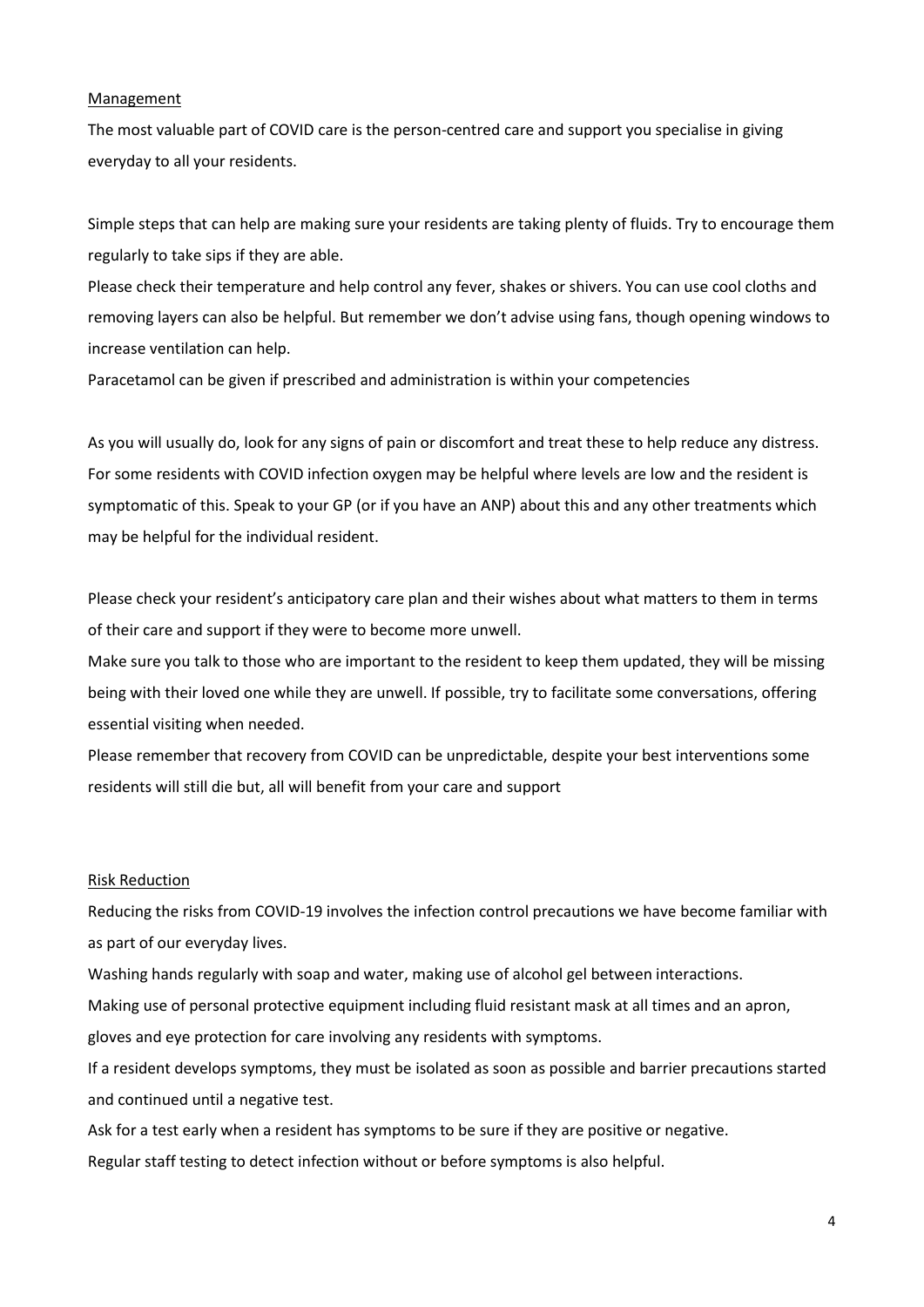### Management

The most valuable part of COVID care is the person-centred care and support you specialise in giving everyday to all your residents.

Simple steps that can help are making sure your residents are taking plenty of fluids. Try to encourage them regularly to take sips if they are able.

Please check their temperature and help control any fever, shakes or shivers. You can use cool cloths and removing layers can also be helpful. But remember we don't advise using fans, though opening windows to increase ventilation can help.

Paracetamol can be given if prescribed and administration is within your competencies

As you will usually do, look for any signs of pain or discomfort and treat these to help reduce any distress. For some residents with COVID infection oxygen may be helpful where levels are low and the resident is symptomatic of this. Speak to your GP (or if you have an ANP) about this and any other treatments which may be helpful for the individual resident.

Please check your resident's anticipatory care plan and their wishes about what matters to them in terms of their care and support if they were to become more unwell.

Make sure you talk to those who are important to the resident to keep them updated, they will be missing being with their loved one while they are unwell. If possible, try to facilitate some conversations, offering essential visiting when needed.

Please remember that recovery from COVID can be unpredictable, despite your best interventions some residents will still die but, all will benefit from your care and support

### Risk Reduction

Reducing the risks from COVID-19 involves the infection control precautions we have become familiar with as part of our everyday lives.

Washing hands regularly with soap and water, making use of alcohol gel between interactions.

Making use of personal protective equipment including fluid resistant mask at all times and an apron,

gloves and eye protection for care involving any residents with symptoms.

If a resident develops symptoms, they must be isolated as soon as possible and barrier precautions started and continued until a negative test.

Ask for a test early when a resident has symptoms to be sure if they are positive or negative.

Regular staff testing to detect infection without or before symptoms is also helpful.